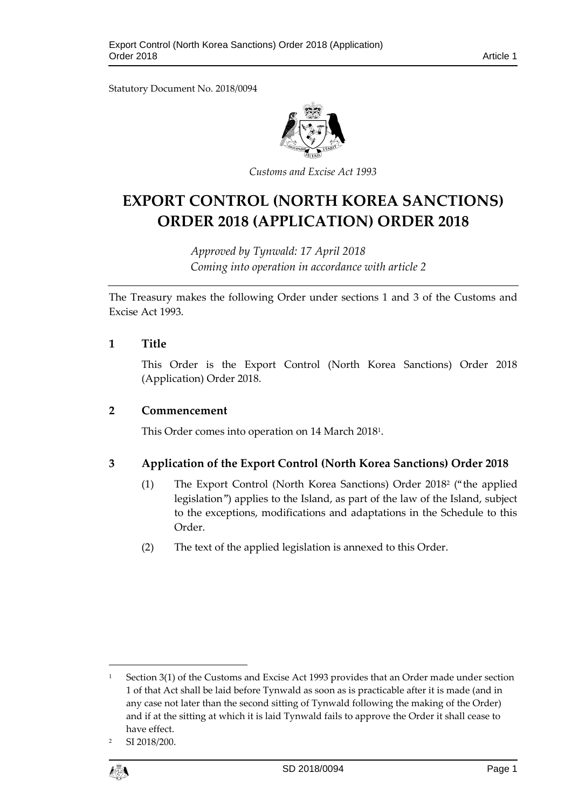Statutory Document No. 2018/0094



*Customs and Excise Act 1993*

# **EXPORT CONTROL (NORTH KOREA SANCTIONS) ORDER 2018 (APPLICATION) ORDER 2018**

*Approved by Tynwald: 17 April 2018 Coming into operation in accordance with article 2*

The Treasury makes the following Order under sections 1 and 3 of the Customs and Excise Act 1993.

# **1 Title**

This Order is the Export Control (North Korea Sanctions) Order 2018 (Application) Order 2018.

## **2 Commencement**

This Order comes into operation on 14 March 2018<sup>1</sup> .

# **3 Application of the Export Control (North Korea Sanctions) Order 2018**

- (1) The Export Control (North Korea Sanctions) Order 2018<sup>2</sup> ("the applied legislation") applies to the Island, as part of the law of the Island, subject to the exceptions, modifications and adaptations in the Schedule to this Order.
- (2) The text of the applied legislation is annexed to this Order.

SI 2018/200.



 $\overline{a}$ 

<sup>&</sup>lt;sup>1</sup> Section 3(1) of the Customs and Excise Act 1993 provides that an Order made under section 1 of that Act shall be laid before Tynwald as soon as is practicable after it is made (and in any case not later than the second sitting of Tynwald following the making of the Order) and if at the sitting at which it is laid Tynwald fails to approve the Order it shall cease to have effect.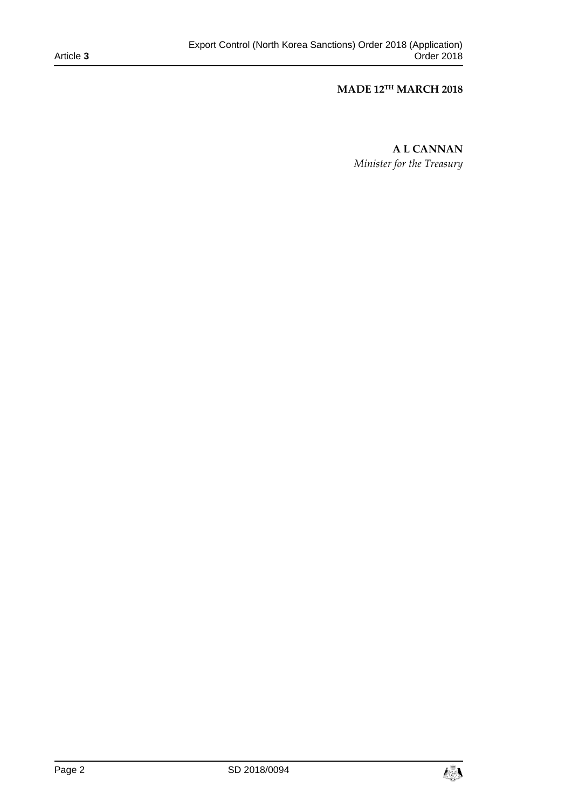# **MADE 12TH MARCH 2018**

**A L CANNAN** *Minister for the Treasury*

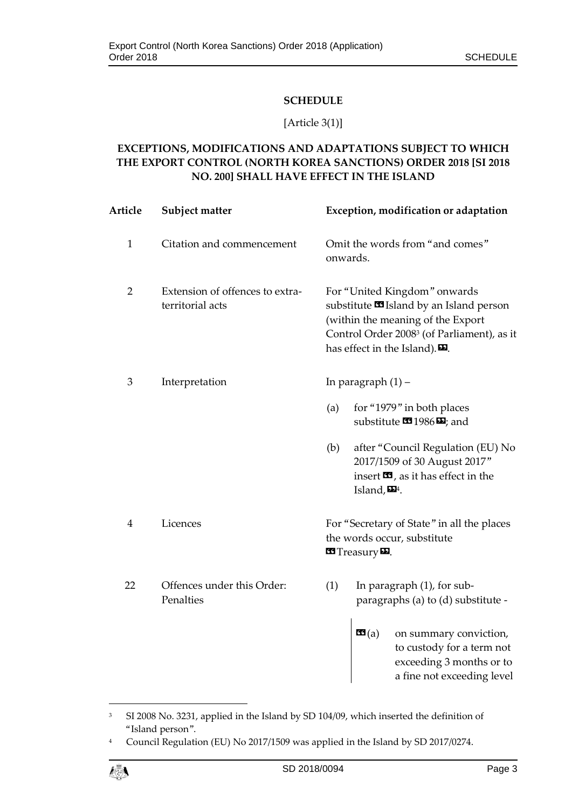# **SCHEDULE**

# [Article 3(1)]

# **EXCEPTIONS, MODIFICATIONS AND ADAPTATIONS SUBJECT TO WHICH THE EXPORT CONTROL (NORTH KOREA SANCTIONS) ORDER 2018 [SI 2018 NO. 200] SHALL HAVE EFFECT IN THE ISLAND**

| Article        | Subject matter                                      | Exception, modification or adaptation                                                                                                                                                                                           |
|----------------|-----------------------------------------------------|---------------------------------------------------------------------------------------------------------------------------------------------------------------------------------------------------------------------------------|
| $\mathbf{1}$   | Citation and commencement                           | Omit the words from "and comes"<br>onwards.                                                                                                                                                                                     |
| $\overline{2}$ | Extension of offences to extra-<br>territorial acts | For "United Kingdom" onwards<br>substitute <b>3</b> Island by an Island person<br>(within the meaning of the Export<br>Control Order 2008 <sup>3</sup> (of Parliament), as it<br>has effect in the Island). $\mathbf{\Sigma}$ . |
| 3              | Interpretation                                      | In paragraph $(1)$ –                                                                                                                                                                                                            |
|                |                                                     | for "1979" in both places<br>(a)<br>substitute $\blacksquare$ 1986 $\blacksquare$ ; and                                                                                                                                         |
|                |                                                     | after "Council Regulation (EU) No<br>(b)<br>2017/1509 of 30 August 2017"<br>insert <b>3</b> , as it has effect in the<br>Island, $\mathbf{E}^{4}$ .                                                                             |
| 4              | Licences                                            | For "Secretary of State" in all the places<br>the words occur, substitute<br><b>ES</b> Treasury <b>D</b> .                                                                                                                      |
| 22             | Offences under this Order:<br>Penalties             | (1)<br>In paragraph (1), for sub-<br>paragraphs (a) to (d) substitute -                                                                                                                                                         |
|                |                                                     | $G(a)$<br>on summary conviction,<br>to custody for a term not<br>exceeding 3 months or to<br>a fine not exceeding level                                                                                                         |

<sup>3</sup> SI 2008 No. 3231, applied in the Island by SD 104/09, which inserted the definition of "Island person".

<sup>&</sup>lt;sup>4</sup> Council Regulation (EU) No 2017/1509 was applied in the Island by SD 2017/0274.



1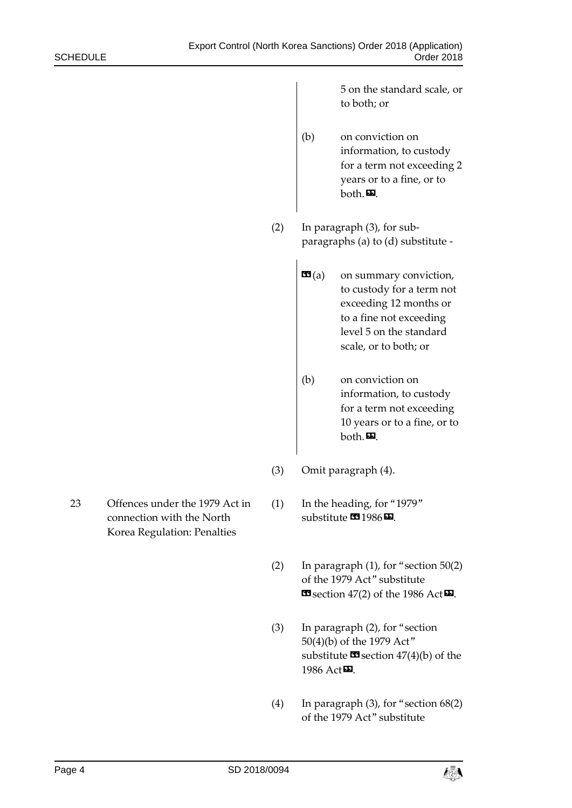5 on the standard scale, or to both; or

- (b) on conviction on information, to custody for a term not exceeding 2 years or to a fine, or to both.<sup>D.</sup>
- (2) In paragraph (3), for subparagraphs (a) to (d) substitute
	- **on summary conviction,** to custody for a term not exceeding 12 months or to a fine not exceeding level 5 on the standard scale, or to both; or
	- (b) on conviction on information, to custody for a term not exceeding 10 years or to a fine, or to both.<sup>20</sup>.
- (3) Omit paragraph (4).
- (1) In the heading, for "1979" substitute  $\mathbf{1986}$  $\mathbf{\Sigma}$ .
- (2) In paragraph (1), for "section 50(2) of the 1979 Act" substitute  $\mathbf{\mathfrak{C}}$  section 47(2) of the 1986 Act $\mathbf{\mathfrak{D}}$ .
- (3) In paragraph (2), for "section 50(4)(b) of the 1979 Act" substitute  $\mathbf{\Omega}$  section  $47(4)(b)$  of the 1986 Act<sup>D</sup>.
- (4) In paragraph (3), for "section 68(2) of the 1979 Act" substitute

23 Offences under the 1979 Act in connection with the North Korea Regulation: Penalties

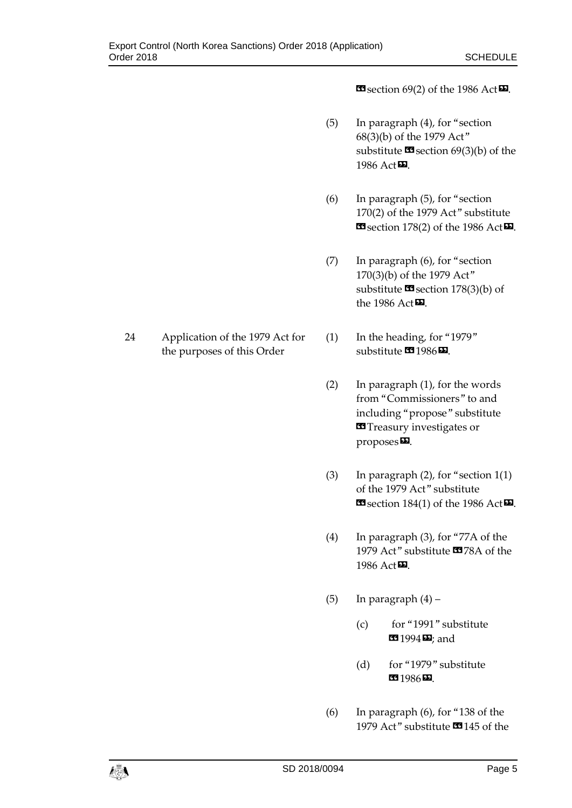$\text{II}\$  section 69(2) of the 1986 Act $\text{II}\$ .

- (5) In paragraph (4), for "section 68(3)(b) of the 1979 Act" substitute  $\blacksquare$  section 69(3)(b) of the 1986 Act<sup>D</sup>.
- (6) In paragraph (5), for "section 170(2) of the 1979 Act" substitute  $\text{C}$  section 178(2) of the 1986 Act $\text{D}$ .
- (7) In paragraph (6), for "section 170(3)(b) of the 1979 Act" substitute  $\blacksquare$  section 178(3)(b) of the 1986 Act $\boldsymbol{\mathsf{Z}}$ .
- (1) In the heading, for "1979" substitute  $\mathbf{\Omega}$ 1986 $\mathbf{\Omega}$ .
- (2) In paragraph (1), for the words from "Commissioners" to and including "propose" substitute **End** Treasury investigates or proposes<sup>D</sup>.
- (3) In paragraph (2), for "section 1(1) of the 1979 Act" substitute  $\text{I} \text{Section 184(1)}$  of the 1986 Act $\text{I} \text{I}$ .
- (4) In paragraph (3), for "77A of the 1979 Act" substitute <a>I</a>78A of the 1986 Act<sup>D</sup>.
- (5) In paragraph  $(4)$ 
	- (c) for "1991" substitute **1994 (a**); and
	- (d) for "1979" substitute **331986**
- (6) In paragraph (6), for "138 of the 1979 Act" substitute <a>I</a>145 of the

24 Application of the 1979 Act for the purposes of this Order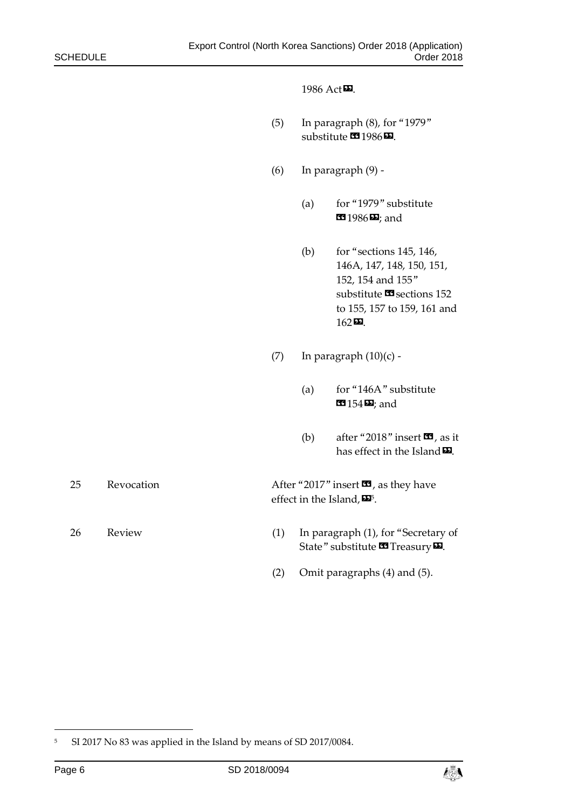|  | 1986 Act <sup>D</sup> . |
|--|-------------------------|
|--|-------------------------|

- (5) In paragraph (8), for "1979" substitute **1986**
- (6) In paragraph (9)
	- (a) for "1979" substitute **1986** and
	- (b) for "sections 145, 146, 146A, 147, 148, 150, 151, 152, 154 and 155" substitute  $\blacksquare$  sections 152 to 155, 157 to 159, 161 and 162».
- (7) In paragraph  $(10)(c)$  -
	- (a) for "146A" substitute **154 2** and
	- (b) after "2018" insert  $\mathbf{C}$ , as it has effect in the Island $\boldsymbol{\Xi}$ .

25 Revocation **After "2017"** insert **3**, as they have effect in the Island, **DS**. 26 Review (1) In paragraph (1), for "Secretary of

- State" substitute **II** Treasury **D**.
	- (2) Omit paragraphs (4) and (5).

-

<sup>&</sup>lt;sup>5</sup> SI 2017 No 83 was applied in the Island by means of SD 2017/0084.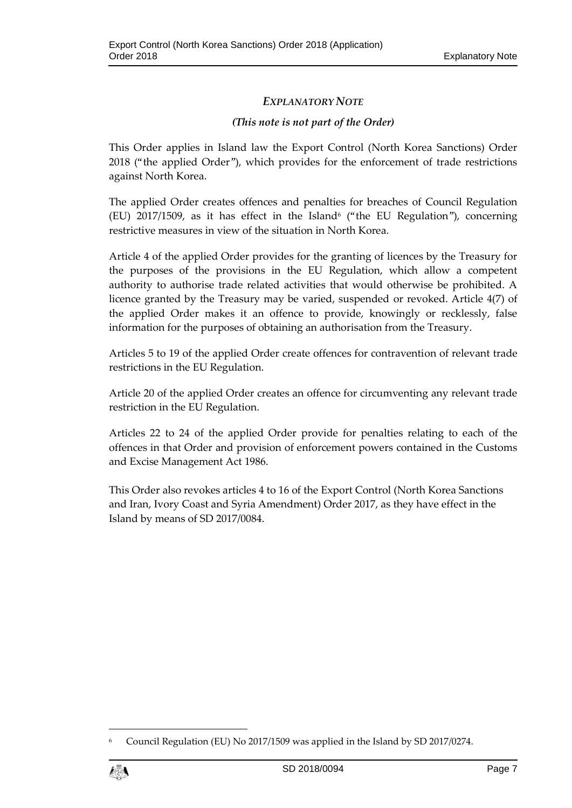# *EXPLANATORY NOTE*

## *(This note is not part of the Order)*

This Order applies in Island law the Export Control (North Korea Sanctions) Order 2018 ("the applied Order"), which provides for the enforcement of trade restrictions against North Korea.

The applied Order creates offences and penalties for breaches of Council Regulation (EU) 2017/1509, as it has effect in the Island<sup>6</sup> ("the EU Regulation"), concerning restrictive measures in view of the situation in North Korea.

Article 4 of the applied Order provides for the granting of licences by the Treasury for the purposes of the provisions in the EU Regulation, which allow a competent authority to authorise trade related activities that would otherwise be prohibited. A licence granted by the Treasury may be varied, suspended or revoked. Article 4(7) of the applied Order makes it an offence to provide, knowingly or recklessly, false information for the purposes of obtaining an authorisation from the Treasury.

Articles 5 to 19 of the applied Order create offences for contravention of relevant trade restrictions in the EU Regulation.

Article 20 of the applied Order creates an offence for circumventing any relevant trade restriction in the EU Regulation.

Articles 22 to 24 of the applied Order provide for penalties relating to each of the offences in that Order and provision of enforcement powers contained in the Customs and Excise Management Act 1986.

This Order also revokes articles 4 to 16 of the Export Control (North Korea Sanctions and Iran, Ivory Coast and Syria Amendment) Order 2017, as they have effect in the Island by means of SD 2017/0084.

<sup>6</sup> Council Regulation (EU) No 2017/1509 was applied in the Island by SD 2017/0274.



 $\overline{a}$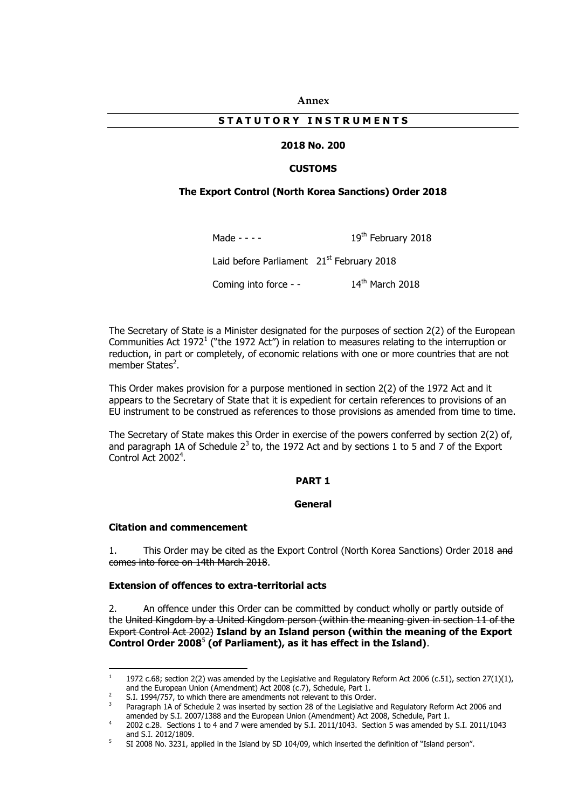**Annex**

#### **S T A T U T O R Y I N S T R U M E N T S**

### **2018 No. 200**

#### **CUSTOMS**

#### **The Export Control (North Korea Sanctions) Order 2018**

Made - - -  $19<sup>th</sup>$  February 2018

Laid before Parliament 21<sup>st</sup> February 2018

Coming into force - - 14<sup>th</sup> March 2018

The Secretary of State is a Minister designated for the purposes of section 2(2) of the European Communities Act 1972<sup>1</sup> ("the 1972 Act") in relation to measures relating to the interruption or reduction, in part or completely, of economic relations with one or more countries that are not member States<sup>2</sup>.

This Order makes provision for a purpose mentioned in section 2(2) of the 1972 Act and it appears to the Secretary of State that it is expedient for certain references to provisions of an EU instrument to be construed as references to those provisions as amended from time to time.

The Secretary of State makes this Order in exercise of the powers conferred by section 2(2) of, and paragraph 1A of Schedule  $2^3$  to, the 1972 Act and by sections 1 to 5 and 7 of the Export Control Act 2002<sup>4</sup>.

#### **PART 1**

#### **General**

#### **Citation and commencement**

1. This Order may be cited as the Export Control (North Korea Sanctions) Order 2018 and comes into force on 14th March 2018.

#### **Extension of offences to extra-territorial acts**

2. An offence under this Order can be committed by conduct wholly or partly outside of the United Kingdom by a United Kingdom person (within the meaning given in section 11 of the Export Control Act 2002) **Island by an Island person (within the meaning of the Export Control Order 2008**<sup>5</sup> **(of Parliament), as it has effect in the Island)**.

 $\overline{1}$ 1972 c.68; section 2(2) was amended by the Legislative and Regulatory Reform Act 2006 (c.51), section 27(1)(1), and the European Union (Amendment) Act 2008 (c.7), Schedule, Part 1.

<sup>2</sup> S.I. 1994/757, to which there are amendments not relevant to this Order.

<sup>3</sup> Paragraph 1A of Schedule 2 was inserted by section 28 of the Legislative and Regulatory Reform Act 2006 and amended by S.I. 2007/1388 and the European Union (Amendment) Act 2008, Schedule, Part 1.

<sup>4</sup> 2002 c.28. Sections 1 to 4 and 7 were amended by S.I. 2011/1043. Section 5 was amended by S.I. 2011/1043 and S.I. 2012/1809.

<sup>5</sup> SI 2008 No. 3231, applied in the Island by SD 104/09, which inserted the definition of "Island person".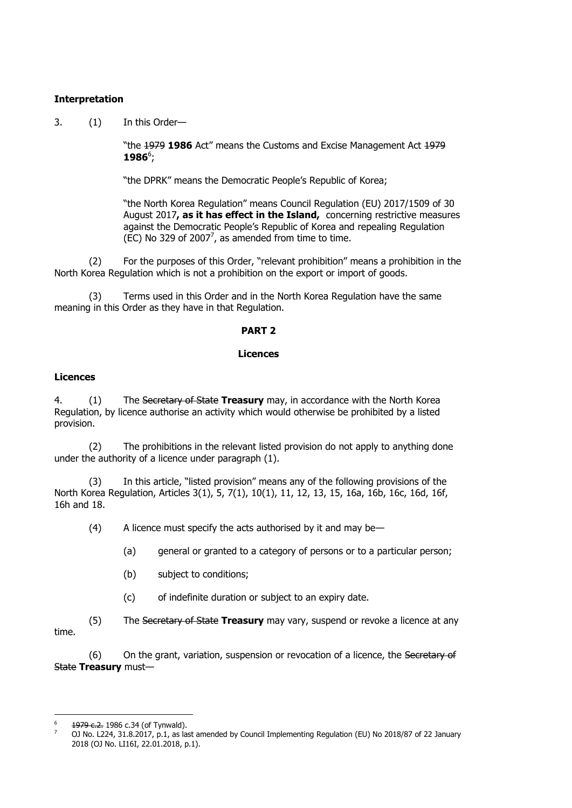## **Interpretation**

3. (1) In this Order—

"the 1979 **1986** Act" means the Customs and Excise Management Act 1979 **1986**<sup>6</sup>;

"the DPRK" means the Democratic People's Republic of Korea;

"the North Korea Regulation" means Council Regulation (EU) 2017/1509 of 30 August 2017**, as it has effect in the Island,** concerning restrictive measures against the Democratic People's Republic of Korea and repealing Regulation (EC) No 329 of 2007<sup>7</sup>, as amended from time to time.

(2) For the purposes of this Order, "relevant prohibition" means a prohibition in the North Korea Regulation which is not a prohibition on the export or import of goods.

(3) Terms used in this Order and in the North Korea Regulation have the same meaning in this Order as they have in that Regulation.

### **PART 2**

### **Licences**

## **Licences**

4. (1) The Secretary of State **Treasury** may, in accordance with the North Korea Regulation, by licence authorise an activity which would otherwise be prohibited by a listed provision.

(2) The prohibitions in the relevant listed provision do not apply to anything done under the authority of a licence under paragraph (1).

(3) In this article, "listed provision" means any of the following provisions of the North Korea Regulation, Articles 3(1), 5, 7(1), 10(1), 11, 12, 13, 15, 16a, 16b, 16c, 16d, 16f, 16h and 18.

(4) A licence must specify the acts authorised by it and may be—

- (a) general or granted to a category of persons or to a particular person;
- (b) subject to conditions;
- (c) of indefinite duration or subject to an expiry date.

(5) The Secretary of State **Treasury** may vary, suspend or revoke a licence at any time.

(6) On the grant, variation, suspension or revocation of a licence, the Secretary of State **Treasury** must—

<sup>—&</sup>lt;br>6 1979 c.2. 1986 c.34 (of Tynwald).

<sup>&</sup>lt;sup>7</sup> OJ No. L224, 31.8.2017, p.1, as last amended by Council Implementing Regulation (EU) No 2018/87 of 22 January 2018 (OJ No. LI16I, 22.01.2018, p.1).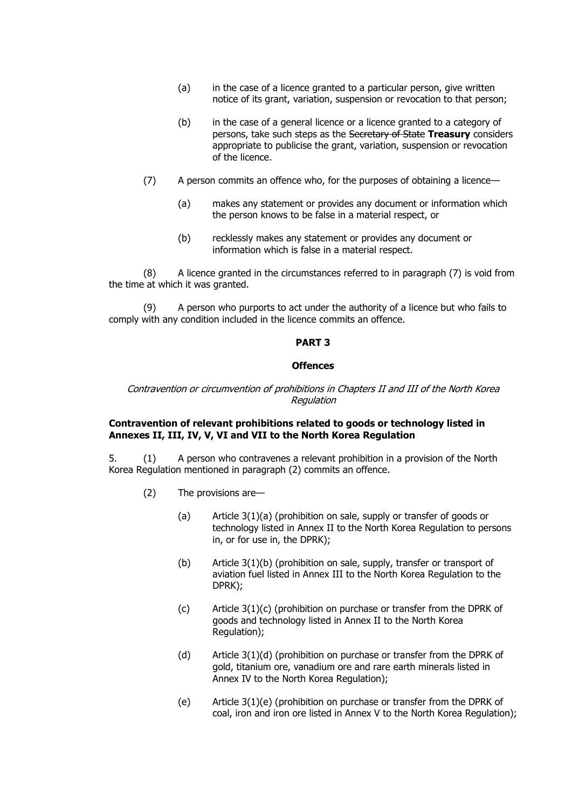- (a) in the case of a licence granted to a particular person, give written notice of its grant, variation, suspension or revocation to that person;
- (b) in the case of a general licence or a licence granted to a category of persons, take such steps as the Secretary of State **Treasury** considers appropriate to publicise the grant, variation, suspension or revocation of the licence.
- (7) A person commits an offence who, for the purposes of obtaining a licence—
	- (a) makes any statement or provides any document or information which the person knows to be false in a material respect, or
	- (b) recklessly makes any statement or provides any document or information which is false in a material respect.

(8) A licence granted in the circumstances referred to in paragraph (7) is void from the time at which it was granted.

(9) A person who purports to act under the authority of a licence but who fails to comply with any condition included in the licence commits an offence.

#### **PART 3**

#### **Offences**

#### Contravention or circumvention of prohibitions in Chapters II and III of the North Korea Regulation

#### **Contravention of relevant prohibitions related to goods or technology listed in Annexes II, III, IV, V, VI and VII to the North Korea Regulation**

5. (1) A person who contravenes a relevant prohibition in a provision of the North Korea Regulation mentioned in paragraph (2) commits an offence.

- (2) The provisions are—
	- (a) Article 3(1)(a) (prohibition on sale, supply or transfer of goods or technology listed in Annex II to the North Korea Regulation to persons in, or for use in, the DPRK);
	- (b) Article 3(1)(b) (prohibition on sale, supply, transfer or transport of aviation fuel listed in Annex III to the North Korea Regulation to the DPRK);
	- (c) Article 3(1)(c) (prohibition on purchase or transfer from the DPRK of goods and technology listed in Annex II to the North Korea Regulation);
	- (d) Article 3(1)(d) (prohibition on purchase or transfer from the DPRK of gold, titanium ore, vanadium ore and rare earth minerals listed in Annex IV to the North Korea Regulation);
	- (e) Article 3(1)(e) (prohibition on purchase or transfer from the DPRK of coal, iron and iron ore listed in Annex V to the North Korea Regulation);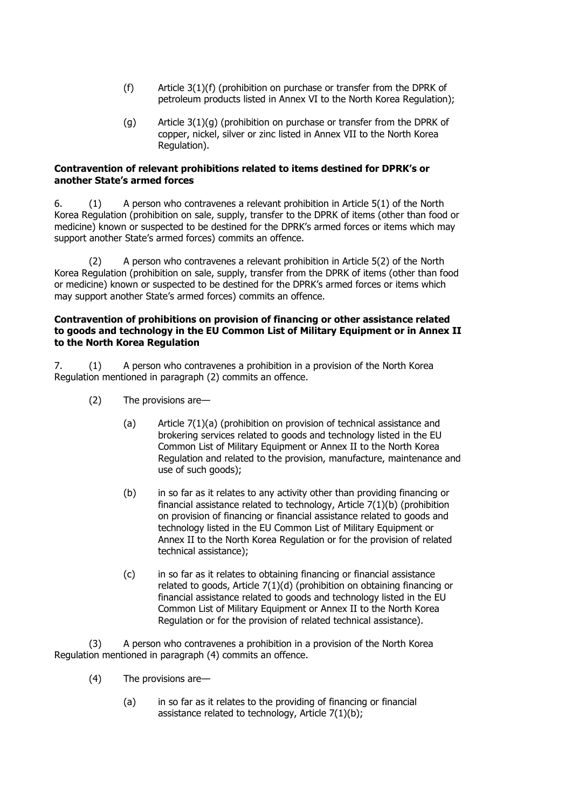- (f) Article 3(1)(f) (prohibition on purchase or transfer from the DPRK of petroleum products listed in Annex VI to the North Korea Regulation);
- (g) Article 3(1)(g) (prohibition on purchase or transfer from the DPRK of copper, nickel, silver or zinc listed in Annex VII to the North Korea Regulation).

## **Contravention of relevant prohibitions related to items destined for DPRK's or another State's armed forces**

6. (1) A person who contravenes a relevant prohibition in Article 5(1) of the North Korea Regulation (prohibition on sale, supply, transfer to the DPRK of items (other than food or medicine) known or suspected to be destined for the DPRK's armed forces or items which may support another State's armed forces) commits an offence.

(2) A person who contravenes a relevant prohibition in Article 5(2) of the North Korea Regulation (prohibition on sale, supply, transfer from the DPRK of items (other than food or medicine) known or suspected to be destined for the DPRK's armed forces or items which may support another State's armed forces) commits an offence.

#### **Contravention of prohibitions on provision of financing or other assistance related to goods and technology in the EU Common List of Military Equipment or in Annex II to the North Korea Regulation**

7. (1) A person who contravenes a prohibition in a provision of the North Korea Regulation mentioned in paragraph (2) commits an offence.

- (2) The provisions are—
	- (a) Article 7(1)(a) (prohibition on provision of technical assistance and brokering services related to goods and technology listed in the EU Common List of Military Equipment or Annex II to the North Korea Regulation and related to the provision, manufacture, maintenance and use of such goods);
	- (b) in so far as it relates to any activity other than providing financing or financial assistance related to technology, Article 7(1)(b) (prohibition on provision of financing or financial assistance related to goods and technology listed in the EU Common List of Military Equipment or Annex II to the North Korea Regulation or for the provision of related technical assistance);
	- (c) in so far as it relates to obtaining financing or financial assistance related to goods, Article 7(1)(d) (prohibition on obtaining financing or financial assistance related to goods and technology listed in the EU Common List of Military Equipment or Annex II to the North Korea Regulation or for the provision of related technical assistance).

(3) A person who contravenes a prohibition in a provision of the North Korea Regulation mentioned in paragraph (4) commits an offence.

- (4) The provisions are—
	- (a) in so far as it relates to the providing of financing or financial assistance related to technology, Article 7(1)(b);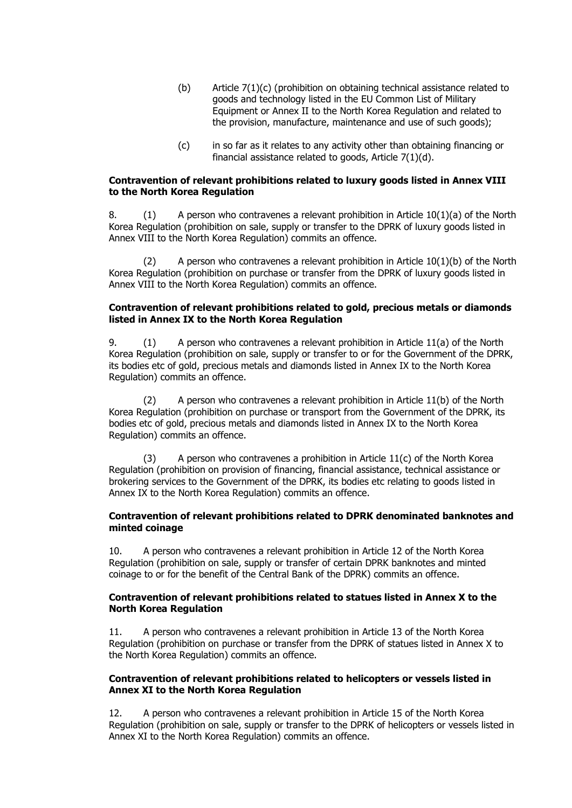- (b) Article 7(1)(c) (prohibition on obtaining technical assistance related to goods and technology listed in the EU Common List of Military Equipment or Annex II to the North Korea Regulation and related to the provision, manufacture, maintenance and use of such goods);
- (c) in so far as it relates to any activity other than obtaining financing or financial assistance related to goods, Article 7(1)(d).

## **Contravention of relevant prohibitions related to luxury goods listed in Annex VIII to the North Korea Regulation**

8. (1) A person who contravenes a relevant prohibition in Article 10(1)(a) of the North Korea Regulation (prohibition on sale, supply or transfer to the DPRK of luxury goods listed in Annex VIII to the North Korea Regulation) commits an offence.

(2) A person who contravenes a relevant prohibition in Article  $10(1)(b)$  of the North Korea Regulation (prohibition on purchase or transfer from the DPRK of luxury goods listed in Annex VIII to the North Korea Regulation) commits an offence.

### **Contravention of relevant prohibitions related to gold, precious metals or diamonds listed in Annex IX to the North Korea Regulation**

9. (1) A person who contravenes a relevant prohibition in Article 11(a) of the North Korea Regulation (prohibition on sale, supply or transfer to or for the Government of the DPRK, its bodies etc of gold, precious metals and diamonds listed in Annex IX to the North Korea Regulation) commits an offence.

(2) A person who contravenes a relevant prohibition in Article 11(b) of the North Korea Regulation (prohibition on purchase or transport from the Government of the DPRK, its bodies etc of gold, precious metals and diamonds listed in Annex IX to the North Korea Regulation) commits an offence.

(3) A person who contravenes a prohibition in Article 11(c) of the North Korea Regulation (prohibition on provision of financing, financial assistance, technical assistance or brokering services to the Government of the DPRK, its bodies etc relating to goods listed in Annex IX to the North Korea Regulation) commits an offence.

### **Contravention of relevant prohibitions related to DPRK denominated banknotes and minted coinage**

10. A person who contravenes a relevant prohibition in Article 12 of the North Korea Regulation (prohibition on sale, supply or transfer of certain DPRK banknotes and minted coinage to or for the benefit of the Central Bank of the DPRK) commits an offence.

### **Contravention of relevant prohibitions related to statues listed in Annex X to the North Korea Regulation**

11. A person who contravenes a relevant prohibition in Article 13 of the North Korea Regulation (prohibition on purchase or transfer from the DPRK of statues listed in Annex X to the North Korea Regulation) commits an offence.

### **Contravention of relevant prohibitions related to helicopters or vessels listed in Annex XI to the North Korea Regulation**

12. A person who contravenes a relevant prohibition in Article 15 of the North Korea Regulation (prohibition on sale, supply or transfer to the DPRK of helicopters or vessels listed in Annex XI to the North Korea Regulation) commits an offence.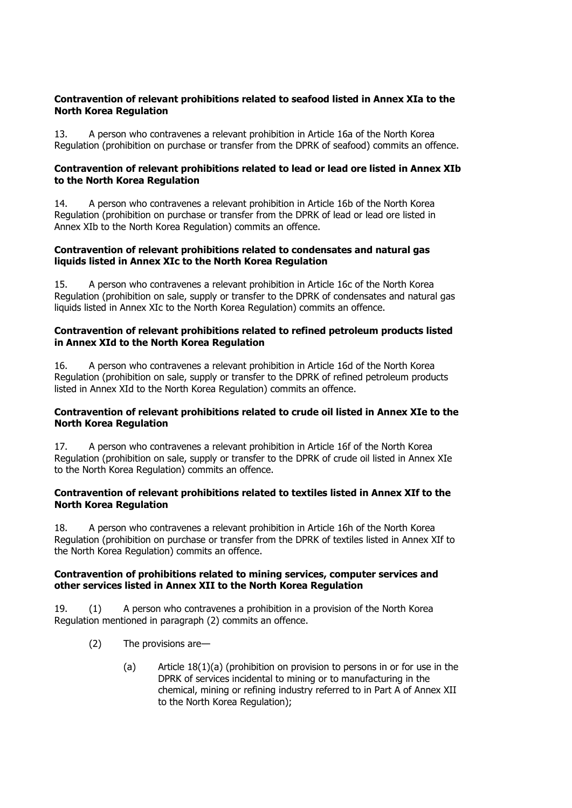## **Contravention of relevant prohibitions related to seafood listed in Annex XIa to the North Korea Regulation**

13. A person who contravenes a relevant prohibition in Article 16a of the North Korea Regulation (prohibition on purchase or transfer from the DPRK of seafood) commits an offence.

## **Contravention of relevant prohibitions related to lead or lead ore listed in Annex XIb to the North Korea Regulation**

14. A person who contravenes a relevant prohibition in Article 16b of the North Korea Regulation (prohibition on purchase or transfer from the DPRK of lead or lead ore listed in Annex XIb to the North Korea Regulation) commits an offence.

### **Contravention of relevant prohibitions related to condensates and natural gas liquids listed in Annex XIc to the North Korea Regulation**

15. A person who contravenes a relevant prohibition in Article 16c of the North Korea Regulation (prohibition on sale, supply or transfer to the DPRK of condensates and natural gas liquids listed in Annex XIc to the North Korea Regulation) commits an offence.

#### **Contravention of relevant prohibitions related to refined petroleum products listed in Annex XId to the North Korea Regulation**

16. A person who contravenes a relevant prohibition in Article 16d of the North Korea Regulation (prohibition on sale, supply or transfer to the DPRK of refined petroleum products listed in Annex XId to the North Korea Regulation) commits an offence.

## **Contravention of relevant prohibitions related to crude oil listed in Annex XIe to the North Korea Regulation**

17. A person who contravenes a relevant prohibition in Article 16f of the North Korea Regulation (prohibition on sale, supply or transfer to the DPRK of crude oil listed in Annex XIe to the North Korea Regulation) commits an offence.

### **Contravention of relevant prohibitions related to textiles listed in Annex XIf to the North Korea Regulation**

18. A person who contravenes a relevant prohibition in Article 16h of the North Korea Regulation (prohibition on purchase or transfer from the DPRK of textiles listed in Annex XIf to the North Korea Regulation) commits an offence.

### **Contravention of prohibitions related to mining services, computer services and other services listed in Annex XII to the North Korea Regulation**

19. (1) A person who contravenes a prohibition in a provision of the North Korea Regulation mentioned in paragraph (2) commits an offence.

- (2) The provisions are—
	- (a) Article 18(1)(a) (prohibition on provision to persons in or for use in the DPRK of services incidental to mining or to manufacturing in the chemical, mining or refining industry referred to in Part A of Annex XII to the North Korea Regulation);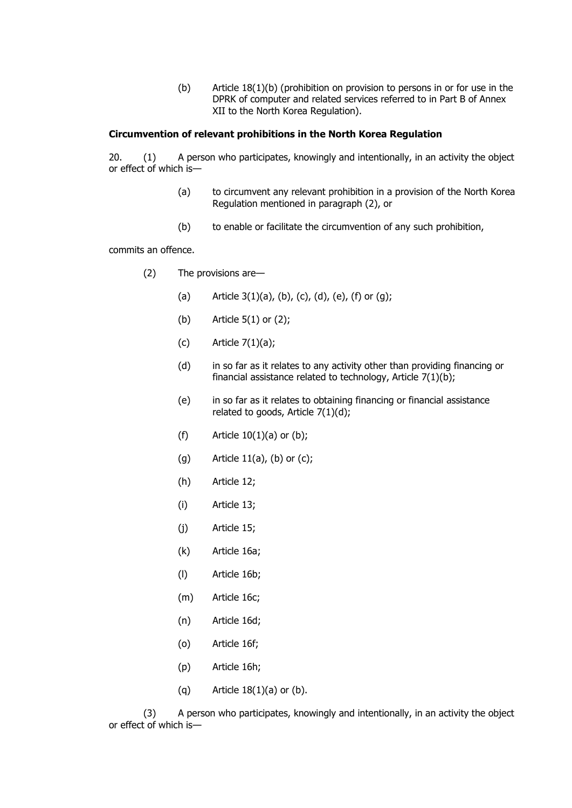(b) Article 18(1)(b) (prohibition on provision to persons in or for use in the DPRK of computer and related services referred to in Part B of Annex XII to the North Korea Regulation).

#### **Circumvention of relevant prohibitions in the North Korea Regulation**

20. (1) A person who participates, knowingly and intentionally, in an activity the object or effect of which is—

- (a) to circumvent any relevant prohibition in a provision of the North Korea Regulation mentioned in paragraph (2), or
- (b) to enable or facilitate the circumvention of any such prohibition,

commits an offence.

- (2) The provisions are—
	- (a) Article  $3(1)(a)$ , (b), (c), (d), (e), (f) or (g);
	- (b) Article 5(1) or (2);
	- (c) Article 7(1)(a);
	- (d) in so far as it relates to any activity other than providing financing or financial assistance related to technology, Article 7(1)(b);
	- (e) in so far as it relates to obtaining financing or financial assistance related to goods, Article 7(1)(d);
	- (f) Article  $10(1)(a)$  or  $(b)$ ;
	- (g) Article  $11(a)$ , (b) or (c);
	- (h) Article 12;
	- (i) Article 13;
	- (j) Article 15;
	- (k) Article 16a;
	- (l) Article 16b;
	- (m) Article 16c;
	- (n) Article 16d;
	- (o) Article 16f;
	- (p) Article 16h;
	- (q) Article  $18(1)(a)$  or (b).

(3) A person who participates, knowingly and intentionally, in an activity the object or effect of which is—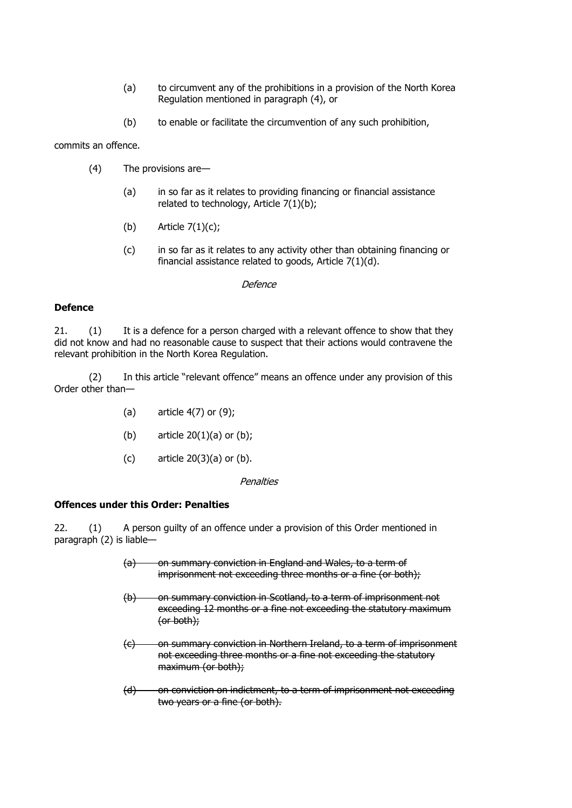- (a) to circumvent any of the prohibitions in a provision of the North Korea Regulation mentioned in paragraph (4), or
- (b) to enable or facilitate the circumvention of any such prohibition,

commits an offence.

- (4) The provisions are—
	- (a) in so far as it relates to providing financing or financial assistance related to technology, Article 7(1)(b);
	- (b) Article  $7(1)(c)$ ;
	- (c) in so far as it relates to any activity other than obtaining financing or financial assistance related to goods, Article 7(1)(d).

**Defence** 

## **Defence**

21. (1) It is a defence for a person charged with a relevant offence to show that they did not know and had no reasonable cause to suspect that their actions would contravene the relevant prohibition in the North Korea Regulation.

(2) In this article "relevant offence" means an offence under any provision of this Order other than—

- (a) article  $4(7)$  or  $(9)$ ;
- (b) article  $20(1)(a)$  or  $(b)$ ;
- (c) article  $20(3)(a)$  or (b).

#### **Penalties**

### **Offences under this Order: Penalties**

22. (1) A person guilty of an offence under a provision of this Order mentioned in paragraph (2) is liable—

- (a) on summary conviction in England and Wales, to a term of imprisonment not exceeding three months or a fine (or both);
- (b) on summary conviction in Scotland, to a term of imprisonment not exceeding 12 months or a fine not exceeding the statutory maximum (or both);
- (c) on summary conviction in Northern Ireland, to a term of imprisonment not exceeding three months or a fine not exceeding the statutory maximum (or both);
- (d) on conviction on indictment, to a term of imprisonment not exceeding two years or a fine (or both).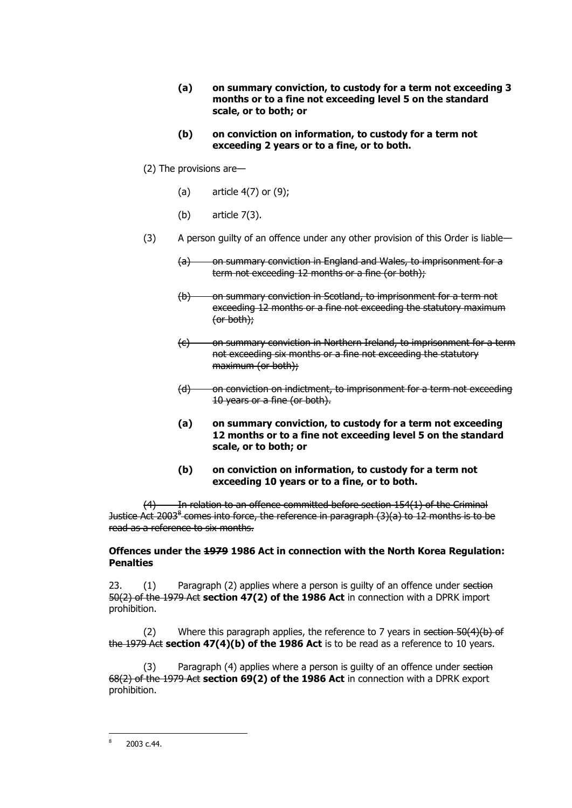- **(a) on summary conviction, to custody for a term not exceeding 3 months or to a fine not exceeding level 5 on the standard scale, or to both; or**
- **(b) on conviction on information, to custody for a term not exceeding 2 years or to a fine, or to both.**
- (2) The provisions are—
	- (a) article  $4(7)$  or  $(9)$ ;
	- (b) article 7(3).
- (3) A person guilty of an offence under any other provision of this Order is liable—
	- $(a)$  on summary conviction in England and Wales, to imprisonment for a term not exceeding 12 months or a fine (or both);
	- (b) on summary conviction in Scotland, to imprisonment for a term not exceeding 12 months or a fine not exceeding the statutory maximum (or both);
	- (c) on summary conviction in Northern Ireland, to imprisonment for a term not exceeding six months or a fine not exceeding the statutory maximum (or both);
	- (d) on conviction on indictment, to imprisonment for a term not exceeding 10 years or a fine (or both).
	- **(a) on summary conviction, to custody for a term not exceeding 12 months or to a fine not exceeding level 5 on the standard scale, or to both; or**
	- **(b) on conviction on information, to custody for a term not exceeding 10 years or to a fine, or to both.**

In relation to an offence committed before section 154(1) of the Criminal Justice Act 2003 $^8$  comes into force, the reference in paragraph (3)(a) to 12 months is to be read as a reference to six months.

### **Offences under the 1979 1986 Act in connection with the North Korea Regulation: Penalties**

23.  $(1)$  Paragraph  $(2)$  applies where a person is quilty of an offence under section 50(2) of the 1979 Act **section 47(2) of the 1986 Act** in connection with a DPRK import prohibition.

(2) Where this paragraph applies, the reference to 7 years in section  $50(4)(b)$  of the 1979 Act **section 47(4)(b) of the 1986 Act** is to be read as a reference to 10 years.

(3) Paragraph (4) applies where a person is guilty of an offence under section 68(2) of the 1979 Act **section 69(2) of the 1986 Act** in connection with a DPRK export prohibition.

 $\frac{1}{8}$ 2003 c.44.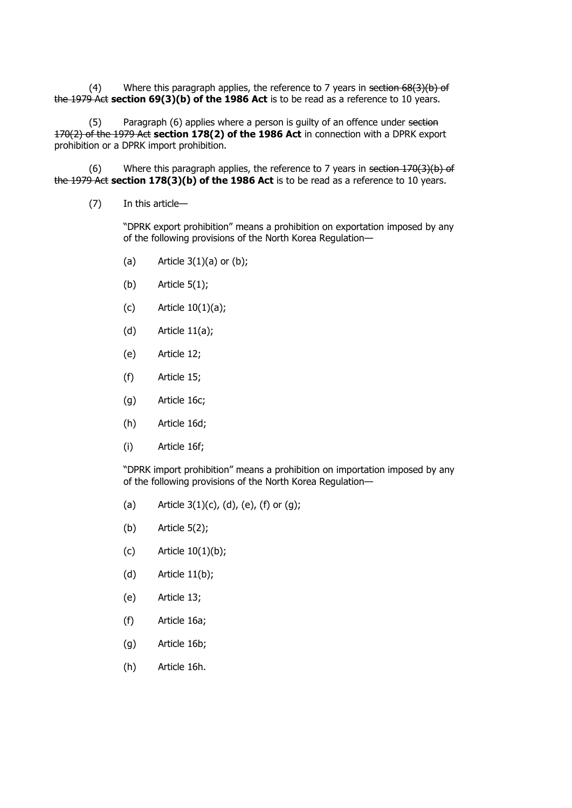(4) Where this paragraph applies, the reference to 7 years in section  $68(3)(b)$  of the 1979 Act **section 69(3)(b) of the 1986 Act** is to be read as a reference to 10 years.

(5) Paragraph (6) applies where a person is guilty of an offence under section 170(2) of the 1979 Act **section 178(2) of the 1986 Act** in connection with a DPRK export prohibition or a DPRK import prohibition.

(6) Where this paragraph applies, the reference to 7 years in section  $170(3)(b)$  of the 1979 Act **section 178(3)(b) of the 1986 Act** is to be read as a reference to 10 years.

(7) In this article—

"DPRK export prohibition" means a prohibition on exportation imposed by any of the following provisions of the North Korea Regulation—

- (a) Article  $3(1)(a)$  or  $(b)$ ;
- (b) Article 5(1);
- (c) Article 10(1)(a);
- $(d)$  Article 11 $(a)$ ;
- (e) Article 12;
- (f) Article 15;
- (g) Article 16c;
- (h) Article 16d;
- (i) Article 16f;

"DPRK import prohibition" means a prohibition on importation imposed by any of the following provisions of the North Korea Regulation—

- (a) Article  $3(1)(c)$ ,  $(d)$ ,  $(e)$ ,  $(f)$  or  $(g)$ ;
- (b) Article 5(2);
- (c) Article  $10(1)(b)$ ;
- (d) Article 11(b);
- (e) Article 13;
- (f) Article 16a;
- (g) Article 16b;
- (h) Article 16h.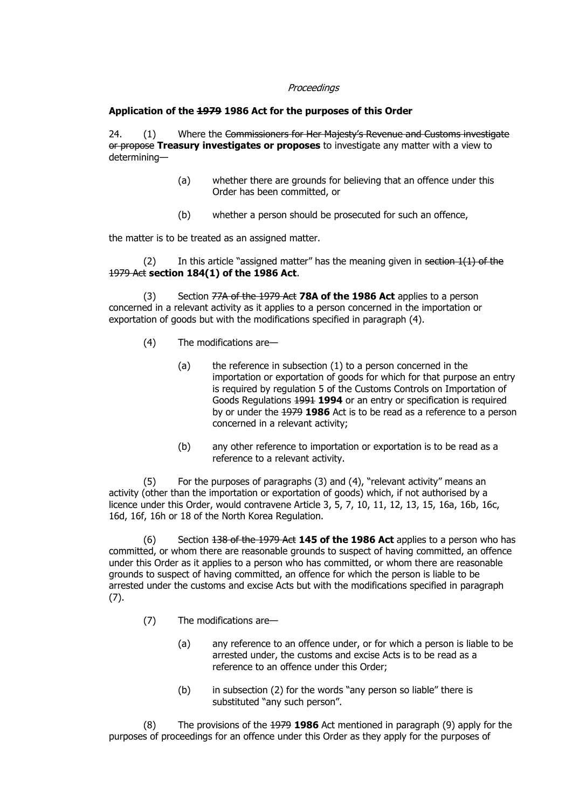#### **Proceedings**

### **Application of the 1979 1986 Act for the purposes of this Order**

24. (1) Where the Commissioners for Her Majesty's Revenue and Customs investigate or propose **Treasury investigates or proposes** to investigate any matter with a view to determining—

- (a) whether there are grounds for believing that an offence under this Order has been committed, or
- (b) whether a person should be prosecuted for such an offence,

the matter is to be treated as an assigned matter.

(2) In this article "assigned matter" has the meaning given in section  $1(1)$  of the 1979 Act **section 184(1) of the 1986 Act**.

(3) Section 77A of the 1979 Act **78A of the 1986 Act** applies to a person concerned in a relevant activity as it applies to a person concerned in the importation or exportation of goods but with the modifications specified in paragraph (4).

- (4) The modifications are—
	- (a) the reference in subsection (1) to a person concerned in the importation or exportation of goods for which for that purpose an entry is required by regulation 5 of the Customs Controls on Importation of Goods Regulations 1991 **1994** or an entry or specification is required by or under the 1979 **1986** Act is to be read as a reference to a person concerned in a relevant activity;
	- (b) any other reference to importation or exportation is to be read as a reference to a relevant activity.

(5) For the purposes of paragraphs (3) and (4), "relevant activity" means an activity (other than the importation or exportation of goods) which, if not authorised by a licence under this Order, would contravene Article 3, 5, 7, 10, 11, 12, 13, 15, 16a, 16b, 16c, 16d, 16f, 16h or 18 of the North Korea Regulation.

(6) Section 138 of the 1979 Act **145 of the 1986 Act** applies to a person who has committed, or whom there are reasonable grounds to suspect of having committed, an offence under this Order as it applies to a person who has committed, or whom there are reasonable grounds to suspect of having committed, an offence for which the person is liable to be arrested under the customs and excise Acts but with the modifications specified in paragraph (7).

- (7) The modifications are—
	- (a) any reference to an offence under, or for which a person is liable to be arrested under, the customs and excise Acts is to be read as a reference to an offence under this Order;
	- (b) in subsection (2) for the words "any person so liable" there is substituted "any such person".

(8) The provisions of the 1979 **1986** Act mentioned in paragraph (9) apply for the purposes of proceedings for an offence under this Order as they apply for the purposes of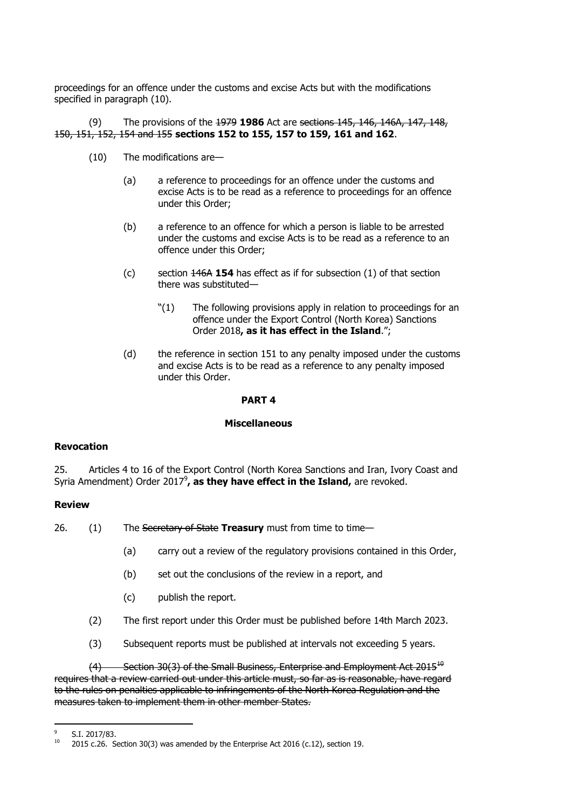proceedings for an offence under the customs and excise Acts but with the modifications specified in paragraph (10).

(9) The provisions of the 1979 **1986** Act are sections 145, 146, 146A, 147, 148, 150, 151, 152, 154 and 155 **sections 152 to 155, 157 to 159, 161 and 162**.

- (10) The modifications are—
	- (a) a reference to proceedings for an offence under the customs and excise Acts is to be read as a reference to proceedings for an offence under this Order;
	- (b) a reference to an offence for which a person is liable to be arrested under the customs and excise Acts is to be read as a reference to an offence under this Order;
	- (c) section 146A **154** has effect as if for subsection (1) of that section there was substituted—
		- $"(1)$  The following provisions apply in relation to proceedings for an offence under the Export Control (North Korea) Sanctions Order 2018**, as it has effect in the Island**.";
	- (d) the reference in section 151 to any penalty imposed under the customs and excise Acts is to be read as a reference to any penalty imposed under this Order.

## **PART 4**

### **Miscellaneous**

### **Revocation**

25. Articles 4 to 16 of the Export Control (North Korea Sanctions and Iran, Ivory Coast and Syria Amendment) Order 2017<sup>9</sup>, as they have effect in the Island, are revoked.

### **Review**

26. (1) The Secretary of State Treasury must from time to time-

- (a) carry out a review of the regulatory provisions contained in this Order,
- (b) set out the conclusions of the review in a report, and
- (c) publish the report.
- (2) The first report under this Order must be published before 14th March 2023.
- (3) Subsequent reports must be published at intervals not exceeding 5 years.

 $(4)$  Section 30(3) of the Small Business, Enterprise and Employment Act 2015<sup>10</sup> requires that a review carried out under this article must, so far as is reasonable, have regard to the rules on penalties applicable to infringements of the North Korea Regulation and the measures taken to implement them in other member States.

-

<sup>9</sup> S.I. 2017/83.

 $10$  2015 c.26. Section 30(3) was amended by the Enterprise Act 2016 (c.12), section 19.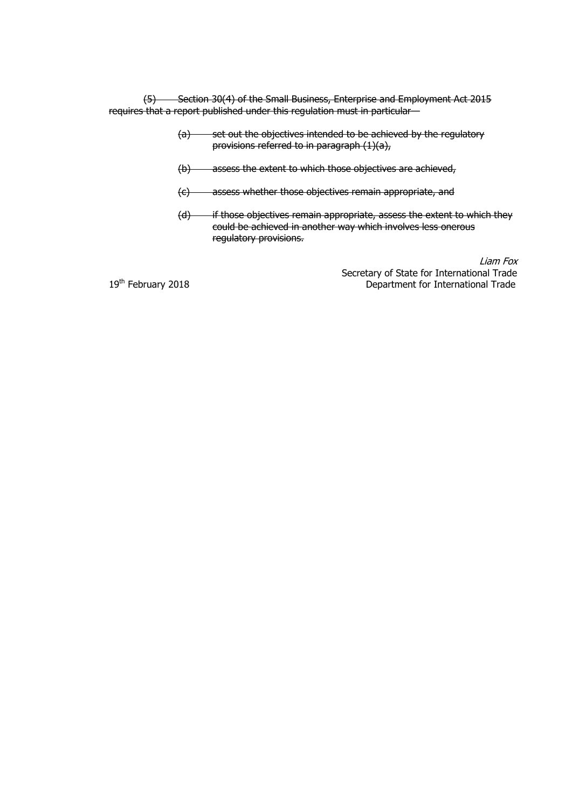(5) Section 30(4) of the Small Business, Enterprise and Employment Act 2015 requires that a report published under this regulation must in particular—

- (a) set out the objectives intended to be achieved by the regulatory provisions referred to in paragraph (1)(a),
- (b) assess the extent to which those objectives are achieved,
- (c) assess whether those objectives remain appropriate, and
- (d) if those objectives remain appropriate, assess the extent to which they could be achieved in another way which involves less onerous regulatory provisions.

Liam Fox Secretary of State for International Trade 19<sup>th</sup> February 2018 **Department for International Trade**